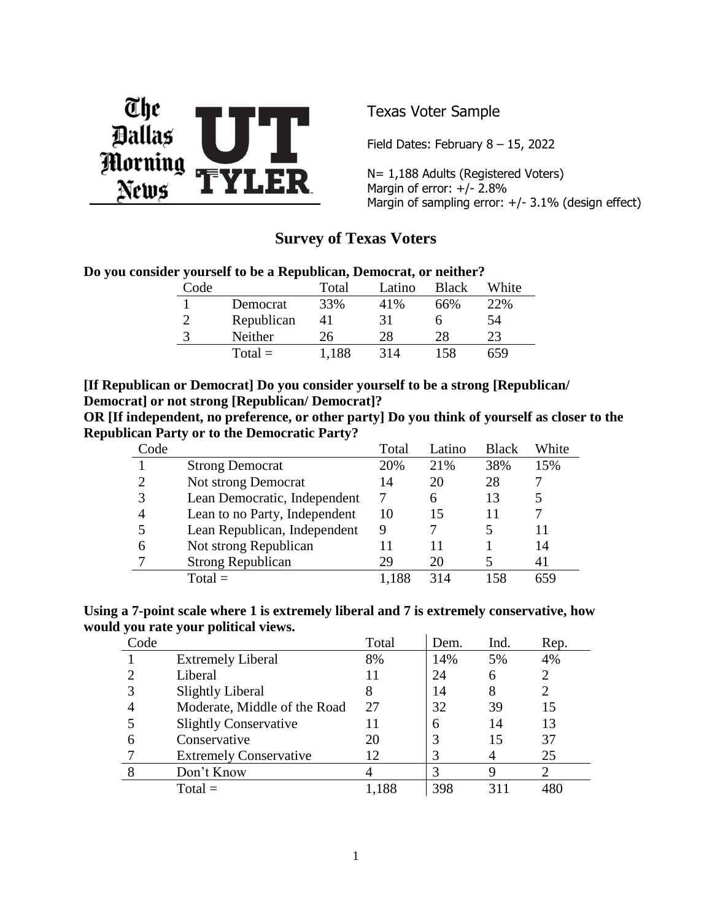

Texas Voter Sample

Field Dates: February 8 – 15, 2022

N= 1,188 Adults (Registered Voters) Margin of error: +/- 2.8% Margin of sampling error: +/- 3.1% (design effect)

# **Survey of Texas Voters**

|  | Do you consider yourself to be a Republican, Democrat, or neither? |
|--|--------------------------------------------------------------------|
|--|--------------------------------------------------------------------|

| Code |            | Total | Latino | <b>Black</b> | White |
|------|------------|-------|--------|--------------|-------|
|      | Democrat   | 33%   | 41%    | 66%          | 22%   |
|      | Republican | 41    | 31     |              | 54    |
|      | Neither    | 26    | 28     | 28           | 23    |
|      | $Total =$  | 1.188 | 314    | 158          | 659   |

#### **[If Republican or Democrat] Do you consider yourself to be a strong [Republican/ Democrat] or not strong [Republican/ Democrat]?**

**OR [If independent, no preference, or other party] Do you think of yourself as closer to the Republican Party or to the Democratic Party?**

| Code |                               | Total | Latino      | <b>Black</b> | White |
|------|-------------------------------|-------|-------------|--------------|-------|
|      | <b>Strong Democrat</b>        | 20%   | 21%         | 38%          | 15%   |
|      | Not strong Democrat           | 14    | 20          | 28           |       |
|      | Lean Democratic, Independent  |       | 6           | 13           |       |
|      | Lean to no Party, Independent | 10    | 15          | 11           |       |
|      | Lean Republican, Independent  | 9     |             |              | 11    |
| 6    | Not strong Republican         |       | 11          |              | 14    |
|      | <b>Strong Republican</b>      | 29    | 20          |              | 41    |
|      | $Total =$                     |       | 31 $\Delta$ | 158          |       |

**Using a 7-point scale where 1 is extremely liberal and 7 is extremely conservative, how would you rate your political views.** 

| Code |                               | Total | Dem. | Ind. | Rep.                        |
|------|-------------------------------|-------|------|------|-----------------------------|
|      | <b>Extremely Liberal</b>      | 8%    | 14%  | 5%   | 4%                          |
|      | Liberal                       | 11    | 24   |      | $\overline{2}$              |
|      | <b>Slightly Liberal</b>       | 8     | 14   | 8    | $\mathcal{D}_{\mathcal{L}}$ |
|      | Moderate, Middle of the Road  | 27    | 32   | 39   | 15                          |
|      | <b>Slightly Conservative</b>  | 11    | 6    | 14   | 13                          |
|      | Conservative                  | 20    | 3    | 15   | 37                          |
|      | <b>Extremely Conservative</b> | 12    | 3    |      | 25                          |
| 8    | Don't Know                    |       | 3    |      | $\mathcal{D}_{\mathcal{A}}$ |
|      | $Total =$                     | 1,188 | 398  |      |                             |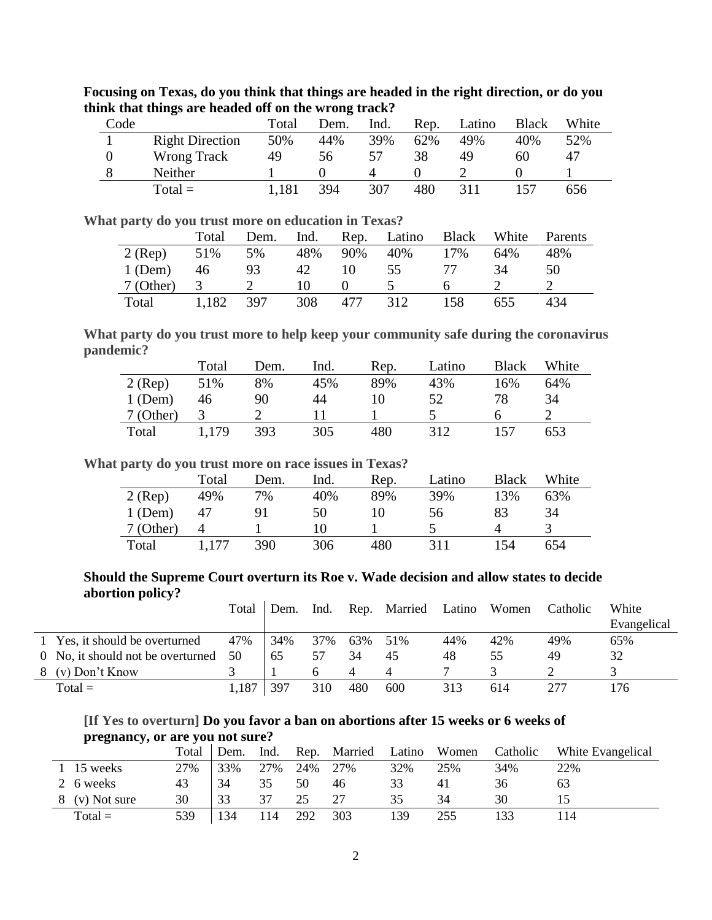| Code |                        | Total | Dem. | Ind. | Rep. | Latino | <b>Black</b> | White |  |
|------|------------------------|-------|------|------|------|--------|--------------|-------|--|
|      | <b>Right Direction</b> | 50%   | 44%  | 39%  | 62%  | 49%    | 40%          | 52%   |  |
|      | Wrong Track            | 49    | 56   |      | 38   | 49     | 60           | 47    |  |
|      | Neither                |       |      |      |      |        |              |       |  |
|      | $Total =$              | .181  | 394  | 307  | 480  |        |              | 656   |  |

**Focusing on Texas, do you think that things are headed in the right direction, or do you think that things are headed off on the wrong track?**

**What party do you trust more on education in Texas?**

|           | Total | Dem. | Ind. | Rep. | Latino | <b>Black</b> | White | Parents |
|-----------|-------|------|------|------|--------|--------------|-------|---------|
| $2$ (Rep) | 51%   | 5%   | 48%  | 90%  | 40%    | 17%          | 64%   | 48%     |
| $1$ (Dem) | 46    | 93   | 42   | 10   | 55     |              | 34    | 50      |
| 7 (Other) | 3     |      | 10   |      |        |              |       |         |
| Total     | 1,182 | 397  | 308  | 477  | 312    | 158          | 655   | 434     |

**What party do you trust more to help keep your community safe during the coronavirus pandemic?**

|           | Total | Dem. | Ind. | Rep. | Latino | <b>Black</b> | White |
|-----------|-------|------|------|------|--------|--------------|-------|
| $2$ (Rep) | 51%   | 8%   | 45%  | 89%  | 43%    | 16%          | 64%   |
| $1$ (Dem) | 46    | 90   | 44   |      | 52     | 78           | 34    |
| 7 (Other) |       |      |      |      |        |              |       |
| Total     | 1,179 | 393  | 305  | 480  | 312    | 157          | 653   |

#### **What party do you trust more on race issues in Texas?**

|           | Total | Dem. | Ind. | Rep. | Latino | <b>Black</b> | White |
|-----------|-------|------|------|------|--------|--------------|-------|
| $2$ (Rep) | 49%   | 7%   | 40%  | 89%  | 39%    | 13%          | 63%   |
| $1$ (Dem) | 47    | 91   | 50   |      | 56     | 83           | 34    |
| 7 (Other) |       |      |      |      |        |              |       |
| Total     | 1,177 | 390  | 306  | 480  | 311    | 154          | 654   |

#### **Should the Supreme Court overturn its Roe v. Wade decision and allow states to decide abortion policy?**

|   |                                      | Total | Dem. | Ind. |     | Rep. Married Latino Women |     |     | Catholic | White       |
|---|--------------------------------------|-------|------|------|-----|---------------------------|-----|-----|----------|-------------|
|   |                                      |       |      |      |     |                           |     |     |          | Evangelical |
|   | 1 Yes, it should be overturned       | 47%   | 34%  | 37%  | 63% | 51%                       | 44% | 42% | 49%      | 65%         |
|   | 0 No, it should not be overturned 50 |       | 65   |      | 34  | 45                        | 48  | 55  | 49       | 32          |
| 8 | $(v)$ Don't Know                     |       |      |      |     |                           |     |     |          |             |
|   | $Total =$                            | 1,187 | 397  | 310  | 480 | 600                       | 313 | 614 | 277      | 176         |

### **[If Yes to overturn] Do you favor a ban on abortions after 15 weeks or 6 weeks of pregnancy, or are you not sure?**

|                | Total | Dem. | Ind. |     | Rep. Married | Latino | Women | Catholic | White Evangelical |
|----------------|-------|------|------|-----|--------------|--------|-------|----------|-------------------|
| 1 15 weeks     | 27%   | 33%  | 27%  | 24% | 27%          | 32%    | 25%   | 34%      | 22%               |
| 2 6 weeks      | 43    | 34   | 35   | 50  | 46           | 33     | 41    | 36       | 63                |
| 8 (v) Not sure | 30    | 33   | 37   | 25  |              | 35     | 34    | 30       |                   |
| $Total =$      | 539   | 134  | 114  | 292 | 303          | 139    | 255   |          | 114               |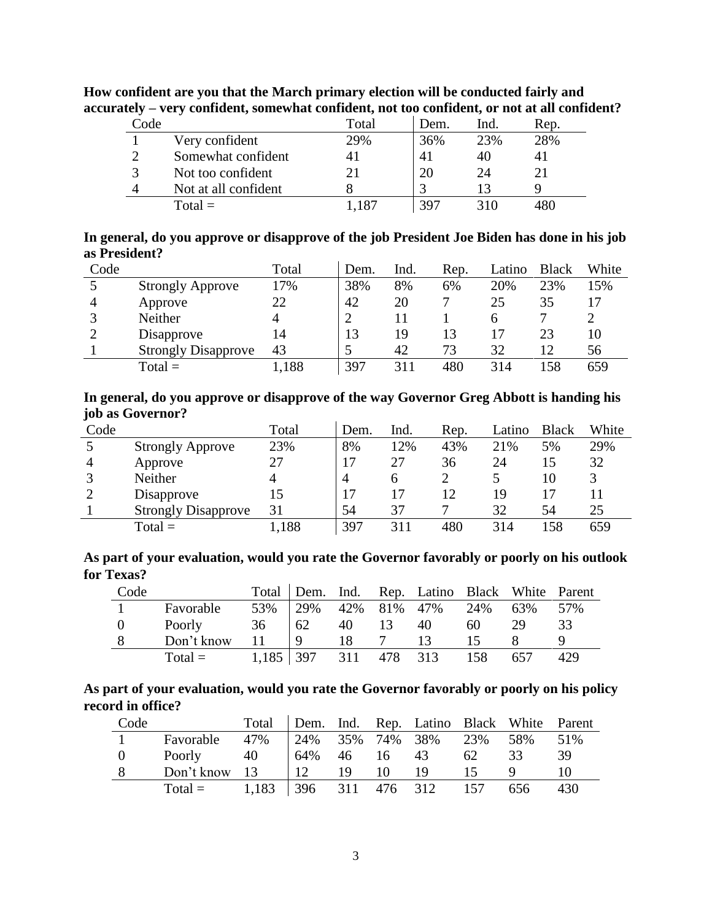| Code         |                      | Total | Dem. | Ind. | Rep. |
|--------------|----------------------|-------|------|------|------|
|              | Very confident       | 29%   | 36%  | 23%  | 28%  |
| ി            | Somewhat confident   |       |      | 40   |      |
| $\mathbf{R}$ | Not too confident    |       | 20   | 24   |      |
| 4            | Not at all confident |       |      |      |      |
|              | $Total =$            | ,187  | 397  |      |      |

**How confident are you that the March primary election will be conducted fairly and accurately – very confident, somewhat confident, not too confident, or not at all confident?**

| In general, do you approve or disapprove of the job President Joe Biden has done in his job |  |  |
|---------------------------------------------------------------------------------------------|--|--|
| as President?                                                                               |  |  |

| Code |                            | Total | Dem.           | Ind. | Rep. | Latino | <b>Black</b> | White |
|------|----------------------------|-------|----------------|------|------|--------|--------------|-------|
|      | <b>Strongly Approve</b>    | 17%   | 38%            | 8%   | 6%   | 20%    | 23%          | 15%   |
|      | Approve                    | 22    | 42             | 20   |      | 25     | 35           | 17    |
|      | Neither                    |       | $\overline{2}$ |      |      |        |              |       |
|      | Disapprove                 | 14    | 13             | 19   | 13   |        | 23           | 10    |
|      | <b>Strongly Disapprove</b> | 43    |                | 42   | 73   | 32     | 12           | 56    |
|      | $Total =$                  | ,188  | 397            | 311  | 480  | 314    | 158          | 659   |

**In general, do you approve or disapprove of the way Governor Greg Abbott is handing his job as Governor?**

| Code |                            | Total | Dem. | Ind. | Rep. | Latino | <b>Black</b> | White |
|------|----------------------------|-------|------|------|------|--------|--------------|-------|
|      | <b>Strongly Approve</b>    | 23%   | 8%   | 12%  | 43%  | 21%    | 5%           | 29%   |
| 4    | Approve                    | 27    |      | 27   | 36   | 24     | 15           | 32    |
|      | Neither                    |       | 4    | h    |      |        | 10           |       |
|      | Disapprove                 |       | 17   |      | 12   | 19     | 17           |       |
|      | <b>Strongly Disapprove</b> | 31    | 54   | 37   |      | 32     | 54           | 25    |
|      | $Total =$                  | 1,188 | 397  | 311  | 480  | 314    | 158          | 659   |

**As part of your evaluation, would you rate the Governor favorably or poorly on his outlook for Texas?**

| Code     |            |               |      |    |             | Total Dem. Ind. Rep. Latino Black White Parent |     |     |     |
|----------|------------|---------------|------|----|-------------|------------------------------------------------|-----|-----|-----|
|          | Favorable  | 53%           | 129% |    |             | 42% 81% 47%                                    | 24% | 63% | 57% |
| $\theta$ | Poorly     | 36            | 62   | 40 | 13          | 40                                             | 60  | -29 | 33  |
|          | Don't know | 11            |      | 18 |             | 13                                             | 15  |     |     |
|          | $Total =$  | $1,185$   397 |      |    | 311 478 313 |                                                | 158 | 657 | 429 |

**As part of your evaluation, would you rate the Governor favorably or poorly on his policy record in office?**

| Code     |                                           | Total |                                                          |          | Dem. Ind. Rep. Latino Black White Parent |    |    |                          |
|----------|-------------------------------------------|-------|----------------------------------------------------------|----------|------------------------------------------|----|----|--------------------------|
|          | Favorable                                 | 47%   |                                                          |          | 24% 35% 74% 38% 23% 58% 51%              |    |    |                          |
| $\theta$ | Poorly                                    | - 40  | $\begin{array}{cccc} \n64\% & 46 & 16 & 43\n\end{array}$ |          |                                          | 62 | 33 | 39                       |
|          | Don't know 13                             |       | 12                                                       | 19 10 19 |                                          | 15 |    | $\mathbf{I}(\mathbf{I})$ |
|          | Total = $1,183$   396 311 476 312 157 656 |       |                                                          |          |                                          |    |    | 430                      |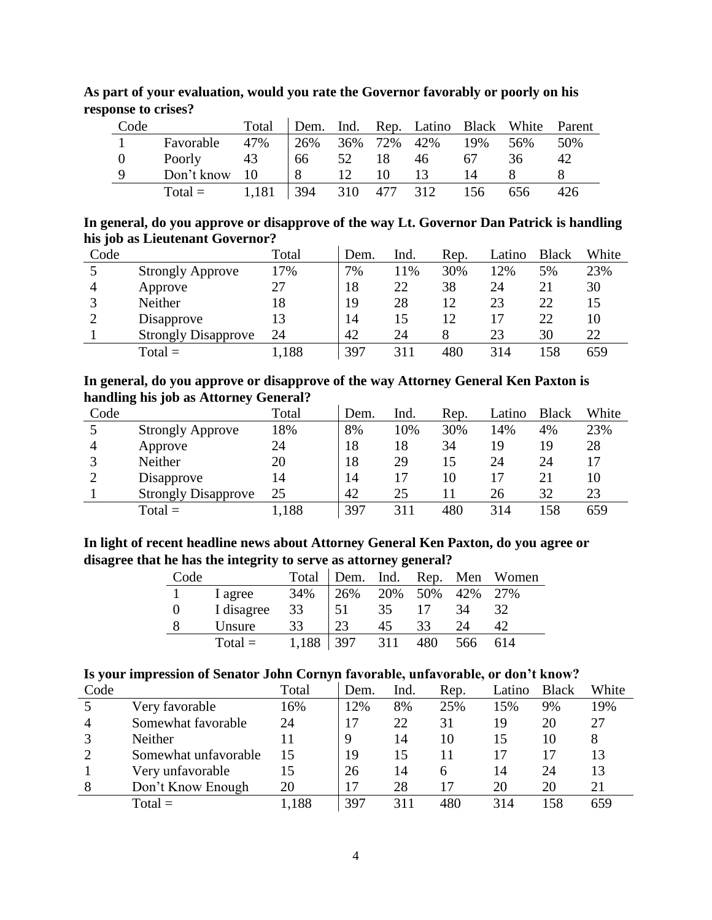| Code     |                                           | Total                           |                |    | Dem. Ind. Rep. Latino Black White Parent |    |    |     |
|----------|-------------------------------------------|---------------------------------|----------------|----|------------------------------------------|----|----|-----|
|          | Favorable                                 | 47% 26% 36% 72% 42% 19% 56% 50% |                |    |                                          |    |    |     |
| $\Omega$ | Poorly                                    | 43                              | 66             |    | 52 18 46                                 | 67 | 36 | 42  |
| Q        | Don't know 10                             |                                 | 8 <sup>8</sup> | 12 | 10 13                                    | 14 |    |     |
|          | Total = $1,181$   394 310 477 312 156 656 |                                 |                |    |                                          |    |    | 426 |

**As part of your evaluation, would you rate the Governor favorably or poorly on his response to crises?**

**In general, do you approve or disapprove of the way Lt. Governor Dan Patrick is handling his job as Lieutenant Governor?**

| Code |                            | Total | Dem. | Ind. | Rep. | Latino | <b>Black</b> | White |
|------|----------------------------|-------|------|------|------|--------|--------------|-------|
|      | <b>Strongly Approve</b>    | 17%   | 7%   | 11%  | 30%  | 12%    | 5%           | 23%   |
| 4    | Approve                    | 27    | 18   | 22   | 38   | 24     | 21           | 30    |
|      | Neither                    | 18    | 19   | 28   | 12   | 23     | 22           | 15    |
|      | Disapprove                 | 13    | 14   | 15   | 12   |        | 22           | 10    |
|      | <b>Strongly Disapprove</b> | 24    | 42   | 24   | 8    | 23     | 30           | 22    |
|      | $Total =$                  | ,188  | 397  | 311  | 480  | 314    | .58          | 659   |

**In general, do you approve or disapprove of the way Attorney General Ken Paxton is handling his job as Attorney General?**

| Code |                            | Total | Dem. | Ind. | Rep. | Latino | <b>Black</b> | White |
|------|----------------------------|-------|------|------|------|--------|--------------|-------|
|      | <b>Strongly Approve</b>    | 18%   | 8%   | 10%  | 30%  | 14%    | 4%           | 23%   |
|      | Approve                    | 24    | 18   | 18   | 34   | 19     | 19           | 28    |
|      | Neither                    | 20    | 18   | 29   | 15   | 24     | 24           | 17    |
|      | Disapprove                 | 14    | 14   |      | 10   |        | 21           | 10    |
|      | <b>Strongly Disapprove</b> | 25    | 42   | 25   |      | 26     | 32           | 23    |
|      | $Total =$                  | .,188 | 397  | 311  | 480  | 314    | 158          | 659   |

**In light of recent headline news about Attorney General Ken Paxton, do you agree or disagree that he has the integrity to serve as attorney general?**

| Code |            | Total | Dem. | Ind. | Rep. Men |     | Women |
|------|------------|-------|------|------|----------|-----|-------|
|      | I agree    | 34%   | 26%  | 20%  | 50%      | 42% | 27%   |
|      | I disagree | 33    | 51   | 35   |          | 34  | 32    |
|      | Unsure     | 33    | 23   | 45   | 33       | 24  |       |
|      | $Total =$  | 1,188 | 397  | 311  | 480      | 566 | 614   |

| Is your impression of Senator John Cornyn favorable, unfavorable, or don't know? |  |  |  |
|----------------------------------------------------------------------------------|--|--|--|
|----------------------------------------------------------------------------------|--|--|--|

|      | . .                  |       |      |     |      |        |              |       |
|------|----------------------|-------|------|-----|------|--------|--------------|-------|
| Code |                      | Total | Dem. | Ind | Rep. | Latino | <b>Black</b> | White |
|      | Very favorable       | 16%   | 12%  | 8%  | 25%  | 15%    | 9%           | 19%   |
| 4    | Somewhat favorable   | 24    |      | 22  | 31   | 19     | 20           | 27    |
|      | Neither              |       | 9    | 14  | 10   |        | 10           |       |
|      | Somewhat unfavorable | 15    | 19   | 15  | 11   |        |              | 13    |
|      | Very unfavorable     | 15    | 26   | 14  | h    | 14     | 24           | 13    |
|      | Don't Know Enough    | 20    |      | 28  | 17   | 20     | 20           | 21    |
|      | $Total =$            | .188  | 397  | 311 | 480  | 314    | .58          | 659   |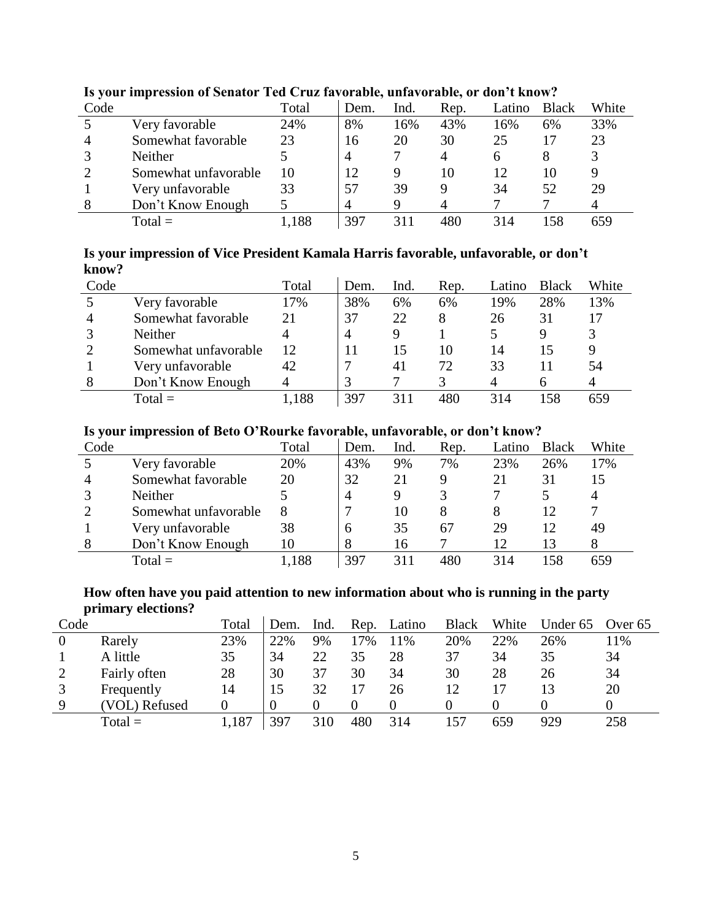| Code |                      | Total | Dem.           | Ind. | Rep. | Latino | <b>Black</b> | White |
|------|----------------------|-------|----------------|------|------|--------|--------------|-------|
|      | Very favorable       | 24%   | 8%             | 16%  | 43%  | 16%    | 6%           | 33%   |
|      | Somewhat favorable   | 23    | 16             | 20   | 30   | 25     | 17           | 23    |
|      | Neither              |       | $\overline{4}$ |      | 4    | 6      |              |       |
|      | Somewhat unfavorable | 10    | 12             | Q    | 10   | 12     | 10           |       |
|      | Very unfavorable     | 33    | 57             | 39   |      | 34     | 52           | 29    |
|      | Don't Know Enough    |       | 4              |      |      |        |              |       |
|      | $Total =$            | .188  | 397            | 311  | 480  | 314    | l 58         | 659   |

# **Is your impression of Senator Ted Cruz favorable, unfavorable, or don't know?**

#### **Is your impression of Vice President Kamala Harris favorable, unfavorable, or don't know?**

| Code |                      | Total | Dem. | Ind. | Rep. | Latino | <b>Black</b> | White |
|------|----------------------|-------|------|------|------|--------|--------------|-------|
|      |                      |       |      |      |      |        |              |       |
|      | Very favorable       | 17%   | 38%  | 6%   | 6%   | 19%    | 28%          | 13%   |
|      | Somewhat favorable   | 21    | 37   | 22   | 8    | 26     | 31           |       |
|      | <b>Neither</b>       |       | 4    | 9    |      |        | g            |       |
|      | Somewhat unfavorable | 12    |      | 15   | 10   | 14     | 15           |       |
|      | Very unfavorable     | 42    |      | 41   | 72   | 33     |              | 54    |
|      | Don't Know Enough    |       |      |      |      | 4      | h            |       |
|      | $Total =$            | 188   | 397  |      | 480  | 314    | .58          | 659   |

#### **Is your impression of Beto O'Rourke favorable, unfavorable, or don't know?**

| Code |                      | Total | Dem. | Ind. | Rep. | Latino | <b>Black</b> | White |
|------|----------------------|-------|------|------|------|--------|--------------|-------|
|      | Very favorable       | 20%   | 43%  | 9%   | 7%   | 23%    | 26%          | 17%   |
| 4    | Somewhat favorable   | 20    | 32   | 21   |      | 21     | 31           | 15    |
|      | Neither              |       | 4    |      |      |        |              |       |
|      | Somewhat unfavorable | 8     |      | 10   |      | 8      |              |       |
|      | Very unfavorable     | 38    | 6    | 35   | 67   | 29     | 12           | 49    |
|      | Don't Know Enough    | 10    | 8    | 16   |      | 12     | 13           |       |
|      | $Total =$            | .188  | 397  | 311  | 480  | 314    | 58           | 659   |

#### **How often have you paid attention to new information about who is running in the party primary elections?**

| Code |               | Total | Dem.     | Ind. | Rep. | Latino | <b>Black</b> | White | Under 65 | Over $65$ |
|------|---------------|-------|----------|------|------|--------|--------------|-------|----------|-----------|
|      | Rarely        | 23%   | 22%      | 9%   | 17%  | 11%    | 20%          | 22%   | 26%      | 11%       |
|      | A little      | 35    | 34       | 22   | 35   | 28     | 37           | 34    | 35       | 34        |
|      | Fairly often  | 28    | 30       | 37   | 30   | 34     | 30           | 28    | 26       | 34        |
|      | Frequently    | 14    | 15       | 32   |      | 26     | 12           |       |          | 20        |
|      | (VOL) Refused |       | $\theta$ |      |      |        |              |       |          |           |
|      | $Total =$     | ,187  | 397      | 310  | 480  | 314    | 157          | 659   | 929      | 258       |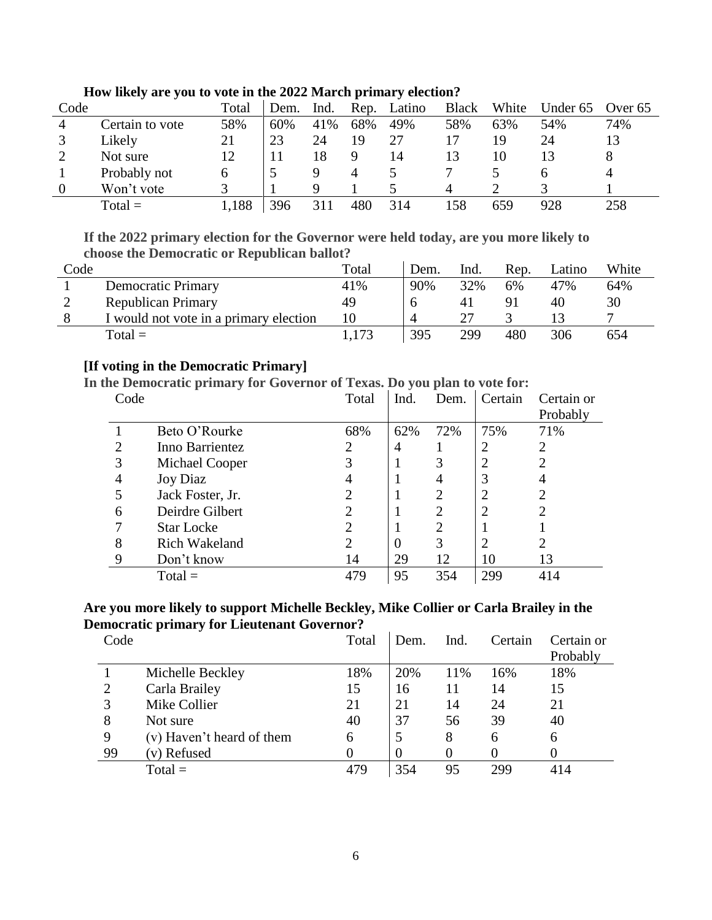| Code |                 | Total | Dem. | Ind. | Rep. | Latino | <b>Black</b> | White | Under 65 | Over $65$ |
|------|-----------------|-------|------|------|------|--------|--------------|-------|----------|-----------|
|      | Certain to vote | 58%   | 60%  | 41%  | 68%  | 49%    | 58%          | 63%   | 54%      | 74%       |
|      | Likely          | 21    | 23   | 24   | 19   | 27     |              | 19    | 24       |           |
|      | Not sure        | 12    |      | 18   |      | 14     | 13           | 10    |          |           |
|      | Probably not    | h     |      |      |      |        |              |       | h        |           |
|      | Won't vote      |       |      | Q    |      |        | 4            |       |          |           |
|      | $Total =$       | 1,188 | 396  |      | 480  | 314    | 158          | 659   | 928      | 258       |
|      |                 |       |      |      |      |        |              |       |          |           |

#### **How likely are you to vote in the 2022 March primary election?**

**If the 2022 primary election for the Governor were held today, are you more likely to choose the Democratic or Republican ballot?**

| Code |                                        | Total | Dem. | Ind. | Rep. | Latino | White |
|------|----------------------------------------|-------|------|------|------|--------|-------|
|      | <b>Democratic Primary</b>              | 41%   | 90%  | 32%  | 6%   | 47%    | 64%   |
| ∠    | <b>Republican Primary</b>              | 49    |      | 41   |      | 40     | 30    |
|      | I would not vote in a primary election | 10    |      |      |      |        |       |
|      | $Total =$                              | .,173 | 395  | 299  | 480  | 306    | 654   |

#### **[If voting in the Democratic Primary]**

**In the Democratic primary for Governor of Texas. Do you plan to vote for:**

| Code           |                      | Total                       | Ind. | Dem.           | Certain | Certain or |
|----------------|----------------------|-----------------------------|------|----------------|---------|------------|
|                |                      |                             |      |                |         | Probably   |
|                | Beto O'Rourke        | 68%                         | 62%  | 72%            | 75%     | 71%        |
| $\overline{2}$ | Inno Barrientez      | າ                           | 4    |                |         | 2          |
| 3              | Michael Cooper       |                             |      | 3              |         |            |
| 4              | <b>Joy Diaz</b>      |                             |      | 4              |         |            |
| 5              | Jack Foster, Jr.     | ∍                           |      | 2              |         | ∍          |
| 6              | Deirdre Gilbert      | $\overline{2}$              |      | $\overline{2}$ |         |            |
| 7              | <b>Star Locke</b>    | $\mathcal{D}_{\mathcal{L}}$ |      | $\overline{2}$ |         |            |
| 8              | <b>Rich Wakeland</b> | $\mathcal{D}_{\mathcal{L}}$ | ( )  | 3              |         | 2          |
| 9              | Don't know           | 14                          | 29   | 12             | 10      | 13         |
|                | $Total =$            | 479                         | 95   | 354            | 299     |            |

### **Are you more likely to support Michelle Beckley, Mike Collier or Carla Brailey in the Democratic primary for Lieutenant Governor?**

| Code |                           | Total | Dem. | Ind. | Certain | Certain or<br>Probably |
|------|---------------------------|-------|------|------|---------|------------------------|
|      | Michelle Beckley          | 18%   | 20%  | 11%  | 16%     | 18%                    |
| 2    | Carla Brailey             | 15    | 16   | 11   | 14      | 15                     |
| 3    | Mike Collier              | 21    | 21   | 14   | 24      | 21                     |
| 8    | Not sure                  | 40    | 37   | 56   | 39      | 40                     |
| 9    | (v) Haven't heard of them | 6     | 5    | 8    | 6       | 6                      |
| 99   | (v) Refused               | 0     |      |      |         |                        |
|      | $Total =$                 | 479   | 354  | 95   | 299     | 414                    |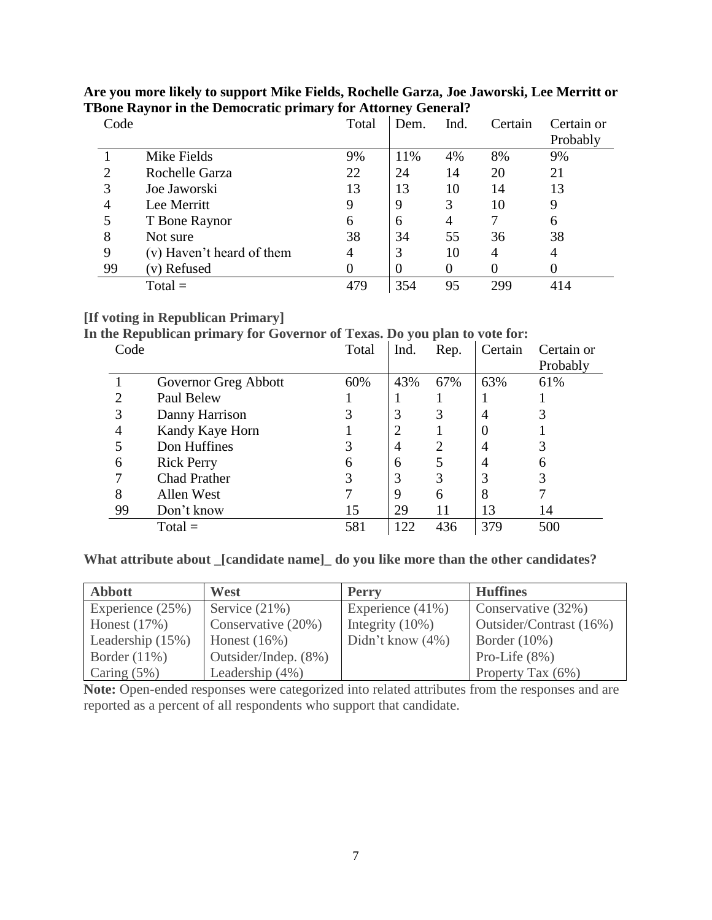| Code |                           | Total | Dem. | Ind. | Certain | Certain or |
|------|---------------------------|-------|------|------|---------|------------|
|      |                           |       |      |      |         | Probably   |
|      | Mike Fields               | 9%    | 11%  | 4%   | 8%      | 9%         |
|      | Rochelle Garza            | 22    | 24   | 14   | 20      | 21         |
|      | Joe Jaworski              | 13    | 13   | 10   | 14      | 13         |
| 4    | Lee Merritt               | 9     | 9    | 3    | 10      | 9          |
|      | T Bone Raynor             | 6     | 6    | 4    |         | 6          |
| 8    | Not sure                  | 38    | 34   | 55   | 36      | 38         |
| 9    | (v) Haven't heard of them | 4     | 3    | 10   | 4       | 4          |
| 99   | (v) Refused               | 0     |      |      |         |            |
|      | $Total =$                 | 479   | 354  | 95   | 299     | 414        |

#### **Are you more likely to support Mike Fields, Rochelle Garza, Joe Jaworski, Lee Merritt or TBone Raynor in the Democratic primary for Attorney General?**

#### **[If voting in Republican Primary]**

**In the Republican primary for Governor of Texas. Do you plan to vote for:**

| Code |                      | Total | Ind. | Rep.           | Certain | Certain or |
|------|----------------------|-------|------|----------------|---------|------------|
|      |                      |       |      |                |         | Probably   |
|      | Governor Greg Abbott | 60%   | 43%  | 67%            | 63%     | 61%        |
| 2    | Paul Belew           |       |      |                |         |            |
| 3    | Danny Harrison       |       | 3    | 3              | 4       |            |
| 4    | Kandy Kaye Horn      |       |      |                |         |            |
|      | Don Huffines         | 3     | 4    | $\overline{2}$ |         |            |
| 6    | <b>Rick Perry</b>    | 6     | 6    | 5              | 4       | 6          |
|      | <b>Chad Prather</b>  | 3     | 3    | 3              |         |            |
| 8    | Allen West           |       | 9    | 6              | 8       |            |
| 99   | Don't know           | 15    | 29   | 11             | 13      | 14         |
|      | $Total =$            | 581   | 122  | 436            | 379     | 500        |

### **What attribute about \_[candidate name]\_ do you like more than the other candidates?**

| <b>Abbott</b>      | West                 | <b>Perry</b>        | <b>Huffines</b>         |
|--------------------|----------------------|---------------------|-------------------------|
| Experience (25%)   | Service $(21\%)$     | Experience $(41\%)$ | Conservative (32%)      |
| Honest $(17%)$     | Conservative (20%)   | Integrity $(10\%)$  | Outsider/Contrast (16%) |
| Leadership $(15%)$ | Honest $(16\%)$      | Didn't know $(4\%)$ | Border $(10\%)$         |
| Border $(11\%)$    | Outsider/Indep. (8%) |                     | Pro-Life $(8\%)$        |
| Caring $(5\%)$     | Leadership $(4\%)$   |                     | Property Tax (6%)       |

Note: Open-ended responses were categorized into related attributes from the responses and are reported as a percent of all respondents who support that candidate.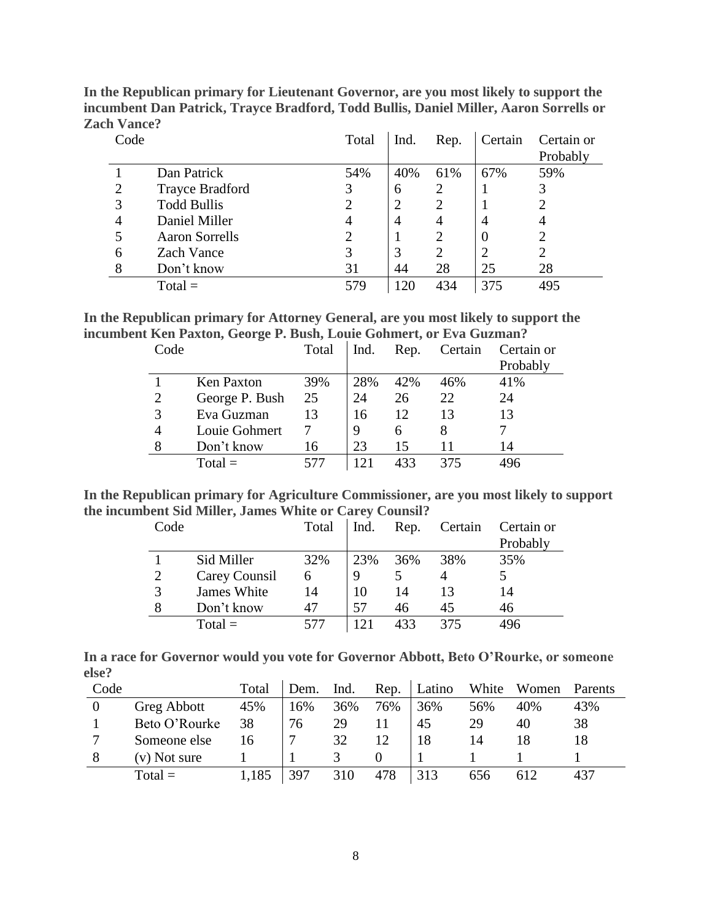| Code           |                        | Total          | Ind. | Rep.           | Certain  | Certain or<br>Probably |
|----------------|------------------------|----------------|------|----------------|----------|------------------------|
|                | Dan Patrick            | 54%            | 40%  | 61%            | 67%      | 59%                    |
| $\overline{2}$ | <b>Trayce Bradford</b> | 3              | 6    | 2              |          | 3                      |
| 3              | <b>Todd Bullis</b>     |                |      | 2              |          |                        |
| $\overline{4}$ | Daniel Miller          | $\overline{4}$ | 4    | 4              | 4        | 4                      |
| 5              | <b>Aaron Sorrells</b>  | $\overline{c}$ |      | 2              | $\theta$ |                        |
| 6              | Zach Vance             | 3              | 3    | $\overline{2}$ |          |                        |
| 8              | Don't know             | 31             | 44   | 28             | 25       | 28                     |
|                | $Total =$              | 579            | 120  | 434            | 375      | 495                    |

**In the Republican primary for Lieutenant Governor, are you most likely to support the incumbent Dan Patrick, Trayce Bradford, Todd Bullis, Daniel Miller, Aaron Sorrells or Zach Vance?**

**In the Republican primary for Attorney General, are you most likely to support the incumbent Ken Paxton, George P. Bush, Louie Gohmert, or Eva Guzman?**

| Code | $\overline{\phantom{a}}$<br>o | Total | Ind. | Rep. | Certain | Certain or<br>Probably |
|------|-------------------------------|-------|------|------|---------|------------------------|
|      | <b>Ken Paxton</b>             | 39%   | 28%  | 42%  | 46%     | 41%                    |
| 2    | George P. Bush                | 25    | 24   | 26   | 22      | 24                     |
| 3    | Eva Guzman                    | 13    | 16   | 12   | 13      | 13                     |
| 4    | Louie Gohmert                 |       | 9    | 6    |         |                        |
|      | Don't know                    | 16    | 23   | 15   |         | 14                     |
|      | $Total =$                     | 577   |      | 433  | 375     | 496                    |

**In the Republican primary for Agriculture Commissioner, are you most likely to support the incumbent Sid Miller, James White or Carey Counsil?**

| Code |               | Total | Ind. | Rep. | Certain | Certain or<br>Probably |
|------|---------------|-------|------|------|---------|------------------------|
|      | Sid Miller    | 32%   | 23%  | 36%  | 38%     | 35%                    |
| 2    | Carey Counsil | 6     |      |      |         |                        |
|      | James White   | 14    | 10   | 14   | 13      | 14                     |
|      | Don't know    | 47    | 57   | 46   | 45      | 46                     |
|      | $Total =$     | 577   |      | 433  | 375     | 496                    |

| In a race for Governor would you vote for Governor Abbott, Beto O'Rourke, or someone |  |  |  |  |
|--------------------------------------------------------------------------------------|--|--|--|--|
| else?                                                                                |  |  |  |  |

| Code |               | Total | Dem. | Ind. | Rep. | Latino | White | Women | Parents |
|------|---------------|-------|------|------|------|--------|-------|-------|---------|
|      | Greg Abbott   | 45%   | 16%  | 36%  | 76%  | 36%    | 56%   | 40%   | 43%     |
|      | Beto O'Rourke | 38    | 76   | 29   |      | 45     | 29    | 40    | 38      |
|      | Someone else  | 16    |      | 32   |      | 18     | 14    |       |         |
|      | (v) Not sure  |       |      |      |      |        |       |       |         |
|      | $Total =$     | 1,185 | 397  | 310  | 478  | 313    | 656   | 612   | 437     |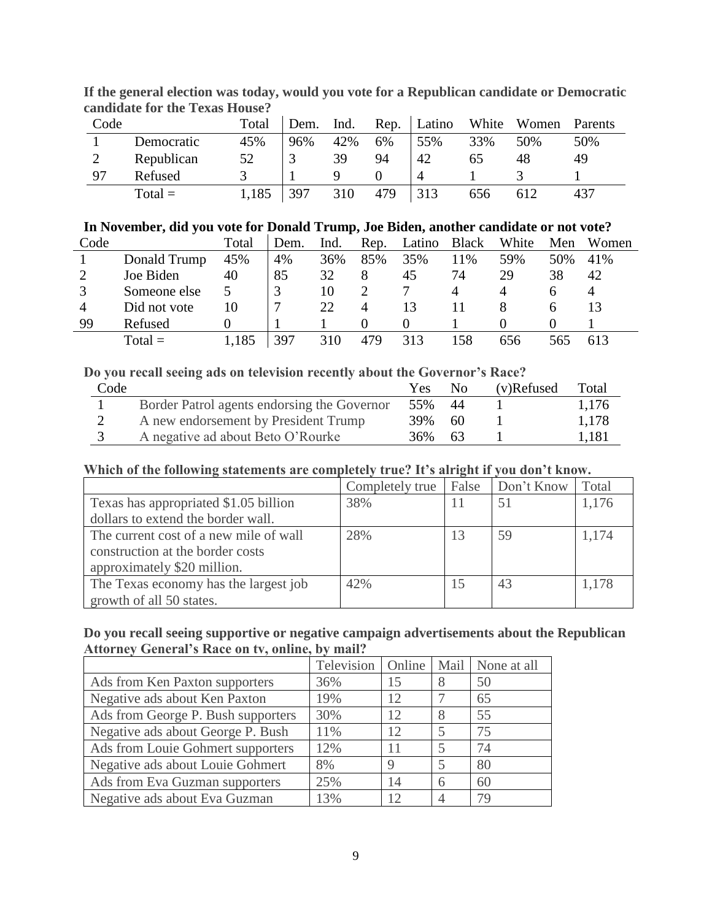| Code |            | Total | Dem. | Ind. | $\mathsf{Rep}$ . | Latino | White | Women | Parents |
|------|------------|-------|------|------|------------------|--------|-------|-------|---------|
|      | Democratic | 45%   | 96%  | 42%  | 6%               | 55%    | 33%   | 50%   | 50%     |
|      | Republican | 52    |      | 39   | 94               | 42     | 65    | 48    | 49      |
| 97   | Refused    |       |      |      |                  |        |       |       |         |
|      | $Total =$  | 1,185 | 397  | 310  | 479              | 313    | 656   | 612   | 437     |

**If the general election was today, would you vote for a Republican candidate or Democratic candidate for the Texas House?**

# **In November, did you vote for Donald Trump, Joe Biden, another candidate or not vote?**

| Code           |              | Total | Dem. | Ind. | Rep. | Latino | <b>Black</b> | White | Men | Women |
|----------------|--------------|-------|------|------|------|--------|--------------|-------|-----|-------|
|                | Donald Trump | 45%   | 4%   | 36%  | 85%  | 35%    | 11%          | 59%   | 50% | 41%   |
|                | Joe Biden    | 40    | 85   | 32   | 8    | 45     | 74           | 29    | 38  | 42    |
|                | Someone else |       |      | 10   |      |        |              |       |     |       |
| $\overline{4}$ | Did not vote |       |      | 22   | 4    | 13     |              |       |     |       |
| 99             | Refused      |       |      |      |      |        |              |       |     |       |
|                | $Total =$    | 185   | 397  | 310  | 479  |        | .58          | 656   | 565 |       |

### **Do you recall seeing ads on television recently about the Governor's Race?**

| Code |                                             | Yes | N <sub>0</sub> | $(v)$ Refused | Total |
|------|---------------------------------------------|-----|----------------|---------------|-------|
|      | Border Patrol agents endorsing the Governor | 55% | 44             |               | 1,176 |
|      | A new endorsement by President Trump        | 39% | 60             |               | 1,178 |
|      | A negative ad about Beto O'Rourke           | 36% | 63             |               | 1,181 |

#### **Which of the following statements are completely true? It's alright if you don't know.**

|                                        | Completely true | False | Don't Know | Total |
|----------------------------------------|-----------------|-------|------------|-------|
| Texas has appropriated \$1.05 billion  | 38%             |       | 51         | 1,176 |
| dollars to extend the border wall.     |                 |       |            |       |
| The current cost of a new mile of wall | 28%             |       | 59         | 1,174 |
| construction at the border costs       |                 |       |            |       |
| approximately \$20 million.            |                 |       |            |       |
| The Texas economy has the largest job  | 42%             |       | 43         | 1,178 |
| growth of all 50 states.               |                 |       |            |       |

#### **Do you recall seeing supportive or negative campaign advertisements about the Republican Attorney General's Race on tv, online, by mail?**

|                                    |     |             |   | Television   Online   Mail   None at all |
|------------------------------------|-----|-------------|---|------------------------------------------|
| Ads from Ken Paxton supporters     | 36% | 15          |   | 50                                       |
| Negative ads about Ken Paxton      | 19% | 12          |   | 65                                       |
| Ads from George P. Bush supporters | 30% | 12          | 8 | 55                                       |
| Negative ads about George P. Bush  | 11% | 12          |   | 75                                       |
| Ads from Louie Gohmert supporters  | 12% | 11          |   | 74                                       |
| Negative ads about Louie Gohmert   | 8%  | $\mathbf Q$ |   | 80                                       |
| Ads from Eva Guzman supporters     | 25% | 14          | 6 | 60                                       |
| Negative ads about Eva Guzman      | 13% | 12          |   | 79                                       |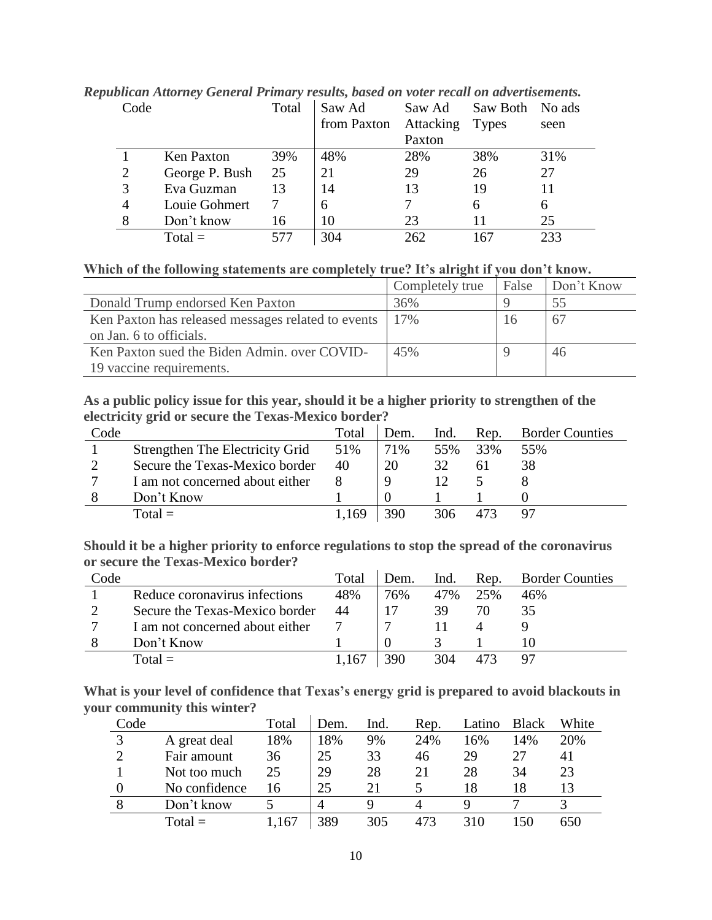| Code |                | $\checkmark$<br>Total | Saw Ad<br>from Paxton | Saw Ad<br>Attacking<br>Paxton | Saw Both<br><b>Types</b> | No ads<br>seen |
|------|----------------|-----------------------|-----------------------|-------------------------------|--------------------------|----------------|
|      | Ken Paxton     | 39%                   | 48%                   | 28%                           | 38%                      | 31%            |
| 2    | George P. Bush | 25                    | 21                    | 29                            | 26                       | 27             |
| 3    | Eva Guzman     | 13                    | 14                    | 13                            | 19                       | 11             |
| 4    | Louie Gohmert  |                       | 6                     |                               | 6                        | 6              |
| 8    | Don't know     | 16                    | 10                    | 23                            |                          | 25             |
|      | $Total =$      | 577                   | 304                   | 262                           | 167                      | 233            |

*Republican Attorney General Primary results, based on voter recall on advertisements.*

#### **Which of the following statements are completely true? It's alright if you don't know.**

|                                                    | Completely true | False | Don't Know |
|----------------------------------------------------|-----------------|-------|------------|
| Donald Trump endorsed Ken Paxton                   | 36%             |       | 55         |
| Ken Paxton has released messages related to events | 17%             | 16    | 67         |
| on Jan. 6 to officials.                            |                 |       |            |
| Ken Paxton sued the Biden Admin. over COVID-       | 45%             |       | 46         |
| 19 vaccine requirements.                           |                 |       |            |

**As a public policy issue for this year, should it be a higher priority to strengthen of the electricity grid or secure the Texas-Mexico border?**

| Code |                                 | Total | Dem. | Ind. | Rep. | <b>Border Counties</b> |
|------|---------------------------------|-------|------|------|------|------------------------|
|      | Strengthen The Electricity Grid | 51%   | 71%  | 55%  | 33%  | 55%                    |
|      | Secure the Texas-Mexico border  | 40    | 20   |      | 61   | 38                     |
|      | I am not concerned about either |       | Q    |      |      |                        |
|      | Don't Know                      |       |      |      |      |                        |
|      | $Total =$                       | 1.169 | 390  | 306  |      |                        |

**Should it be a higher priority to enforce regulations to stop the spread of the coronavirus or secure the Texas-Mexico border?**

| Code |                                 | Total | Dem. | Ind. | Rep. | <b>Border Counties</b> |
|------|---------------------------------|-------|------|------|------|------------------------|
|      | Reduce coronavirus infections   | 48%   | 76%  | 47%  | 25%  | 46%                    |
|      | Secure the Texas-Mexico border  | 44    |      | 39   | 70   |                        |
|      | I am not concerned about either |       |      |      |      |                        |
|      | Don't Know                      |       |      |      |      |                        |
|      | Total $=$                       | 1.167 | 390  | 304  |      |                        |

**What is your level of confidence that Texas's energy grid is prepared to avoid blackouts in your community this winter?**

| Code |               | Total | Dem. | Ind. | Rep. | Latino | <b>Black</b> | White |
|------|---------------|-------|------|------|------|--------|--------------|-------|
|      | A great deal  | 18%   | 18%  | 9%   | 24%  | 16%    | 14%          | 20%   |
|      | Fair amount   | 36    | 25   | 33   | 46   | 29     | 27           | 41    |
|      | Not too much  | 25    | 29   | 28   | 21   | 28     | 34           | 23    |
|      | No confidence | 16    | 25   | 21   |      | 18     | 18           |       |
|      | Don't know    |       |      | Q    |      |        |              |       |
|      | $Total =$     | .67   | 389  | 305  |      | 310    | 50           |       |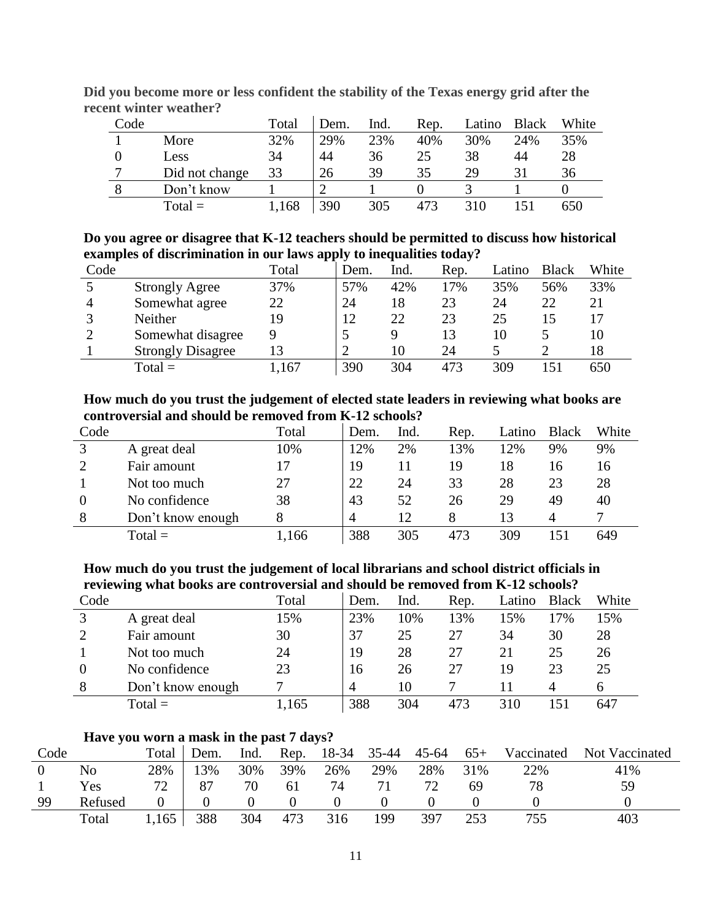| Code |                | Total | Dem. | Ind. | Rep. | Latino | <b>Black</b> | White |
|------|----------------|-------|------|------|------|--------|--------------|-------|
|      | More           | 32%   | 29%  | 23%  | 40%  | 30%    | 24%          | 35%   |
|      | Less           | 34    | 44   | 36   | 25   | 38     | 44           | 28    |
| ⇁    | Did not change | 33    | 26   | 39   | 35   | 29     | 31           | 36    |
|      | Don't know     |       |      |      |      |        |              |       |
|      | $Total =$      | ,168  | 390  | 305  | 473  | 310    |              | 650   |

**Did you become more or less confident the stability of the Texas energy grid after the recent winter weather?**

**Do you agree or disagree that K-12 teachers should be permitted to discuss how historical examples of discrimination in our laws apply to inequalities today?**

| Code |                          | Total | Dem. | Ind. | Rep. | Latino | <b>Black</b> | White |
|------|--------------------------|-------|------|------|------|--------|--------------|-------|
|      | <b>Strongly Agree</b>    | 37%   | 57%  | 42%  | 17%  | 35%    | 56%          | 33%   |
|      | Somewhat agree           | 22    | 24   | 18   | 23   | 24     | 22           | 21    |
|      | Neither                  | 19    | 12   | 22   | 23   | 25     | 15           |       |
|      | Somewhat disagree        |       |      |      | 13   | 10     |              | 10    |
|      | <b>Strongly Disagree</b> | 13    |      | 10   | 24   |        |              | 18    |
|      | $Total =$                | .167  | 390  | 304  | 473  | 309    | 151          | 650   |

**How much do you trust the judgement of elected state leaders in reviewing what books are controversial and should be removed from K-12 schools?**

| Code |                   | Total | Dem. | Ind. | Rep. | Latino | <b>Black</b> | White |
|------|-------------------|-------|------|------|------|--------|--------------|-------|
|      | A great deal      | 10%   | 12%  | 2%   | 13%  | 12%    | 9%           | 9%    |
|      | Fair amount       | 17    | 19   |      | 19   | 18     | 16           | 16    |
|      | Not too much      | 27    | 22   | 24   | 33   | 28     | 23           | 28    |
| 0    | No confidence     | 38    | 43   | 52   | 26   | 29     | 49           | 40    |
| 8    | Don't know enough |       | 4    | 12   |      | 13     |              |       |
|      | $Total =$         | ,166  | 388  | 305  | 473  | 309    | 151          | 649   |

**How much do you trust the judgement of local librarians and school district officials in reviewing what books are controversial and should be removed from K-12 schools?**

| Code |                   | Total | Dem. | Ind. | Rep. | Latino | <b>Black</b> | White |
|------|-------------------|-------|------|------|------|--------|--------------|-------|
|      | A great deal      | 15%   | 23%  | 10%  | 13%  | 15%    | 17%          | 15%   |
|      | Fair amount       | 30    | 37   | 25   | 27   | 34     | 30           | 28    |
|      | Not too much      | 24    | 19   | 28   | 27   |        | 25           | 26    |
|      | No confidence     | 23    | 16   | 26   | 27   | 19     | 23           | 25    |
| 8    | Don't know enough |       | 4    | 10   |      |        |              |       |
|      | $Total =$         | ,165  | 388  | 304  | 473  | 310    | 151          | 647   |

#### **Have you worn a mask in the past 7 days?**

| Code |         | Total | Dem. | Ind. | Rep. | 18-34 | 35-44 | 45-64 | $65+$ | Vaccinated | Not Vaccinated |
|------|---------|-------|------|------|------|-------|-------|-------|-------|------------|----------------|
|      | No      | 28%   | 13%  | 30%  | 39%  | 26%   | 29%   | 28%   | 31%   | 22%        | 41%            |
|      | Yes     | 72    | 87   | 70   | 61   | 74    |       |       | 69    | 78         | 59             |
| 99   | Refused |       |      |      |      |       |       |       |       |            |                |
|      | Total   | 1,165 | 388  | 304  | 473  | 316   | 199   | 397   | 253   | 755        | 403            |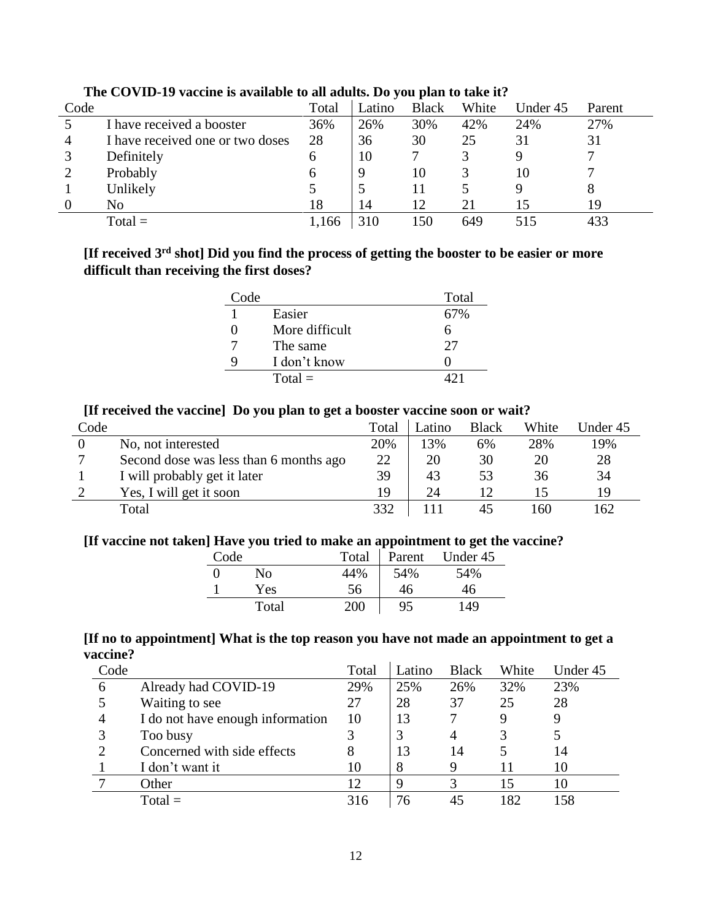| Code           |                                  | Total        | Latino | <b>Black</b> | White | Under 45 | Parent |
|----------------|----------------------------------|--------------|--------|--------------|-------|----------|--------|
|                | I have received a booster        | 36%          | 26%    | 30%          | 42%   | 24%      | 27%    |
| $\overline{4}$ | I have received one or two doses | 28           | 36     | 30           | 25    | 31       | 31     |
|                | Definitely                       | <sub>0</sub> | 10     |              |       |          |        |
|                | Probably                         | <sub>0</sub> |        | 10           |       | 10       |        |
|                | Unlikely                         |              |        |              |       |          |        |
| $\theta$       | No                               | 18           | 14     | 12           | 21    | 15       | 19     |
|                | $Total =$                        | 1,166        | 310    | 150          | 649   | 515      | 433    |

#### **The COVID-19 vaccine is available to all adults. Do you plan to take it?**

# **[If received 3rd shot] Did you find the process of getting the booster to be easier or more difficult than receiving the first doses?**

| Code |                | Total |
|------|----------------|-------|
|      | Easier         | 67%   |
|      | More difficult |       |
|      | The same       | 27    |
|      | I don't know   |       |
|      | $Total =$      |       |

#### **[If received the vaccine] Do you plan to get a booster vaccine soon or wait?**

| Code |                                        | Total | Latino | <b>Black</b> | White | Under 45 |
|------|----------------------------------------|-------|--------|--------------|-------|----------|
|      | No, not interested                     | 20%   | 13%    | 6%           | 28%   | 19%      |
|      | Second dose was less than 6 months ago | 22    | 20     | 30           | 20    | 28       |
|      | I will probably get it later           | 39    | 43     | 53           | 36    | 34       |
|      | Yes, I will get it soon                | 19    | 24     |              |       | 19       |
|      | Total                                  | 332   |        | 45           | 160   | 162      |

#### **[If vaccine not taken] Have you tried to make an appointment to get the vaccine?**

| Code |       | Total | Parent | Under 45 |
|------|-------|-------|--------|----------|
|      | No    | 44%   | 54%    | 54%      |
|      | Yes   | 56    | 46     | 46       |
|      | Total | 200   | 95     | 149      |

#### **[If no to appointment] What is the top reason you have not made an appointment to get a vaccine?**

| Code |                                  | Total | Latino | <b>Black</b> | White | Under 45 |
|------|----------------------------------|-------|--------|--------------|-------|----------|
| 6    | Already had COVID-19             | 29%   | 25%    | 26%          | 32%   | 23%      |
|      | Waiting to see                   | 27    | 28     | 37           | 25    | 28       |
| 4    | I do not have enough information | 10    | 13     |              |       |          |
|      | Too busy                         |       |        |              |       |          |
|      | Concerned with side effects      |       | 13     | 14           |       | 14       |
|      | I don't want it                  |       | 8      |              |       | 10       |
|      | Other                            | 12    | Q      |              | 15    | 10       |
|      | $Total =$                        | 316   | 76     | 45           | 182   |          |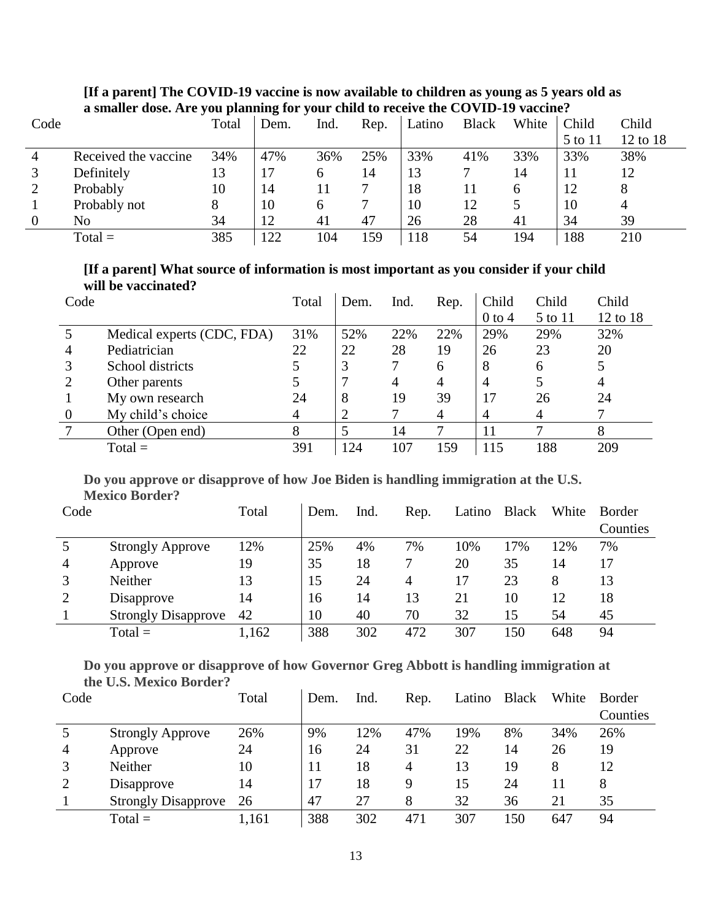|      | a smaner doses in you planning for your emit to receive the CO (1D 1) vaccine. |       |      |      |      |        |              |       |         |          |
|------|--------------------------------------------------------------------------------|-------|------|------|------|--------|--------------|-------|---------|----------|
| Code |                                                                                | Total | Dem. | Ind. | Rep. | Latino | <b>Black</b> | White | Child   | Child    |
|      |                                                                                |       |      |      |      |        |              |       | 5 to 11 | 12 to 18 |
|      | Received the vaccine                                                           | 34%   | 47%  | 36%  | 25%  | 33%    | 41%          | 33%   | 33%     | 38%      |
|      | Definitely                                                                     | 13    | 17   |      | 14   | 13     |              | 14    | 11      | 12       |
|      | Probably                                                                       | 10    | 14   |      |      | 18     |              |       | 12      |          |
|      | Probably not                                                                   |       | 10   |      |      | 10     | 12           |       | 10      |          |
|      | No                                                                             | 34    | 12   | 41   | 47   | 26     | 28           | 41    | 34      | 39       |
|      | $Total =$                                                                      | 385   | 122  | 104  | 159  | 118    | 54           | 194   | 188     | 210      |

### **[If a parent] The COVID-19 vaccine is now available to children as young as 5 years old as a smaller dose. Are you planning for your child to receive the COVID-19 vaccine?**

#### **[If a parent] What source of information is most important as you consider if your child will be vaccinated?**

| Code             |                            | Total | Dem. | Ind. | Rep.           | Child          | Child   | Child    |
|------------------|----------------------------|-------|------|------|----------------|----------------|---------|----------|
|                  |                            |       |      |      |                | $0$ to $4$     | 5 to 11 | 12 to 18 |
|                  | Medical experts (CDC, FDA) | 31%   | 52%  | 22%  | 22%            | 29%            | 29%     | 32%      |
|                  | Pediatrician               | 22    | 22   | 28   | 19             | 26             | 23      | 20       |
|                  | School districts           |       |      |      | 6              | 8              | 6       |          |
| 2                | Other parents              |       |      | 4    | $\overline{4}$ | 4              |         | 4        |
|                  | My own research            | 24    | 8    | 19   | 39             | 17             | 26      | 24       |
| $\boldsymbol{0}$ | My child's choice          | 4     |      |      | $\overline{4}$ | $\overline{4}$ | 4       |          |
|                  | Other (Open end)           | 8     |      | 14   |                | 11             |         | 8        |
|                  | $Total =$                  | 391   | 124  | 107  | 159            | 115            | 188     | 209      |

#### **Do you approve or disapprove of how Joe Biden is handling immigration at the U.S. Mexico Border?**

| Code           |                            | Total | Dem. | Ind. | Rep.           | Latino | <b>Black</b> | White | Border   |
|----------------|----------------------------|-------|------|------|----------------|--------|--------------|-------|----------|
|                |                            |       |      |      |                |        |              |       | Counties |
|                | <b>Strongly Approve</b>    | 12%   | 25%  | 4%   | 7%             | 10%    | 17%          | 12%   | 7%       |
| $\overline{4}$ | Approve                    | 19    | 35   | 18   |                | 20     | 35           | 14    | 17       |
|                | Neither                    | 13    | 15   | 24   | $\overline{4}$ | 17     | 23           | 8     | 13       |
| 2              | Disapprove                 | 14    | 16   | 14   | 13             | 21     | 10           | 12    | 18       |
|                | <b>Strongly Disapprove</b> | 42    | 10   | 40   | 70             | 32     | 15           | 54    | 45       |
|                | $Total =$                  | 1,162 | 388  | 302  | 472            | 307    | 150          | 648   | 94       |

## **Do you approve or disapprove of how Governor Greg Abbott is handling immigration at the U.S. Mexico Border?**

| Code |                            | Total | Dem. | Ind. | Rep. | Latino | <b>Black</b> | White | <b>Border</b> |
|------|----------------------------|-------|------|------|------|--------|--------------|-------|---------------|
|      |                            |       |      |      |      |        |              |       | Counties      |
|      | <b>Strongly Approve</b>    | 26%   | 9%   | 12%  | 47%  | 19%    | 8%           | 34%   | 26%           |
| 4    | Approve                    | 24    | 16   | 24   | 31   | 22     | 14           | 26    | 19            |
|      | Neither                    | 10    | 11   | 18   | 4    | 13     | 19           | 8     | 12            |
| ◠    | Disapprove                 | 14    | 17   | 18   | Q    | 15     | 24           | 11    | 8             |
|      | <b>Strongly Disapprove</b> | 26    | 47   | 27   | 8    | 32     | 36           | 21    | 35            |
|      | $Total =$                  | 1,161 | 388  | 302  | 471  | 307    | 150          | 647   | 94            |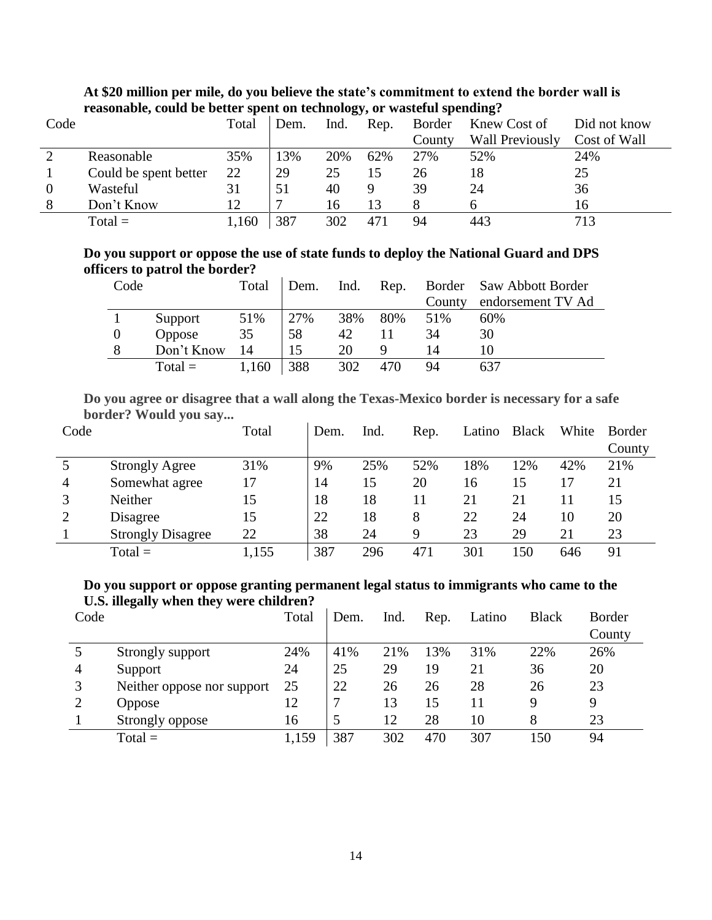| Code |                       | Total | Dem. | Ind. | Rep. | Border | Knew Cost of           | Did not know |
|------|-----------------------|-------|------|------|------|--------|------------------------|--------------|
|      |                       |       |      |      |      | County | <b>Wall Previously</b> | Cost of Wall |
|      | Reasonable            | 35%   | 13%  | 20%  | 62%  | 27%    | 52%                    | 24%          |
|      | Could be spent better | 22    | 29   | 25   | 15   | 26     | 18                     | 25           |
|      | Wasteful              | 31    | 51   | 40   |      | 39     | 24                     | 36           |
|      | Don't Know            | 12    |      | 16   |      |        |                        | 16           |
|      | $Total =$             | .,160 | 387  | 302  |      | 94     | 443                    | 713          |

**At \$20 million per mile, do you believe the state's commitment to extend the border wall is reasonable, could be better spent on technology, or wasteful spending?**

#### **Do you support or oppose the use of state funds to deploy the National Guard and DPS officers to patrol the border?**

| Code |            | Total | Dem. | Ind. |     |        | Rep. Border Saw Abbott Border |
|------|------------|-------|------|------|-----|--------|-------------------------------|
|      |            |       |      |      |     | County | endorsement TV Ad             |
|      | Support    | 51%   | 27%  | 38%  | 80% | 51%    | 60%                           |
|      | Oppose     | 35    | 58   | 42   |     | 34     | 30                            |
|      | Don't Know | 14    | 15   | 20   | Q   | 14     | 10                            |
|      | $Total =$  | 1,160 | 388  | 302  | 470 | 94     | 637                           |

**Do you agree or disagree that a wall along the Texas-Mexico border is necessary for a safe border? Would you say...**

| Code           |                          | Total | Dem. | Ind. | Rep. | Latino | <b>Black</b> | White | <b>Border</b> |
|----------------|--------------------------|-------|------|------|------|--------|--------------|-------|---------------|
|                |                          |       |      |      |      |        |              |       | County        |
|                | <b>Strongly Agree</b>    | 31%   | 9%   | 25%  | 52%  | 18%    | 12%          | 42%   | 21%           |
| $\overline{4}$ | Somewhat agree           | 17    | 14   | 15   | 20   | 16     | 15           |       | 21            |
| 3              | Neither                  | 15    | 18   | 18   | 11   | 21     | 21           | 11    | 15            |
| $\overline{2}$ | Disagree                 | 15    | 22   | 18   | 8    | 22     | 24           | 10    | 20            |
|                | <b>Strongly Disagree</b> | 22    | 38   | 24   | 9    | 23     | 29           | 21    | 23            |
|                | $Total =$                | ,155  | 387  | 296  | 471  | 301    | 150          | 646   | 91            |

#### **Do you support or oppose granting permanent legal status to immigrants who came to the U.S. illegally when they were children?**

| Code | $\overline{\phantom{a}}$<br>$\overline{\phantom{a}}$<br>$\overline{\phantom{a}}$ | Total | Dem. | Ind. | Rep. | Latino | <b>Black</b> | <b>Border</b><br>County |
|------|----------------------------------------------------------------------------------|-------|------|------|------|--------|--------------|-------------------------|
|      | Strongly support                                                                 | 24%   | 41%  | 21%  | 13%  | 31%    | 22%          | 26%                     |
| 4    | Support                                                                          | 24    | 25   | 29   | 19   | 21     | 36           | 20                      |
| 3    | Neither oppose nor support                                                       | 25    | 22   | 26   | 26   | 28     | 26           | 23                      |
|      | Oppose                                                                           | 12    |      | 13   | 15   | 11     | 9            | 9                       |
|      | Strongly oppose                                                                  | 16    |      | 12   | 28   | 10     | 8            | 23                      |
|      | $Total =$                                                                        | ,159  | 387  | 302  | 470  | 307    | 150          | 94                      |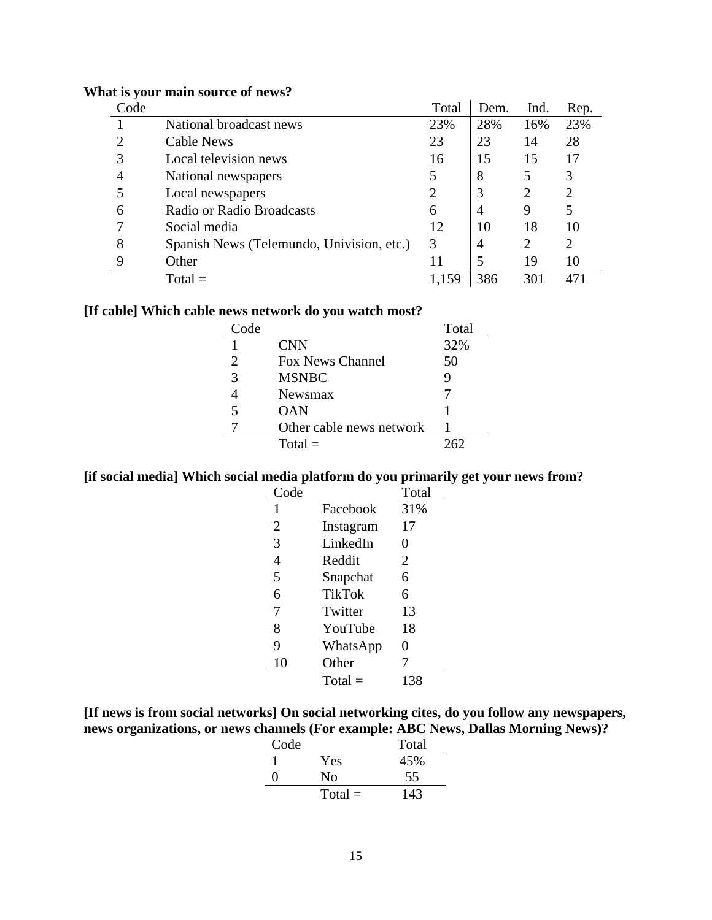| Code |                                           | Total | Dem. | Ind.                  | Rep.           |
|------|-------------------------------------------|-------|------|-----------------------|----------------|
|      | National broadcast news                   | 23%   | 28%  | 16%                   | 23%            |
| ∍    | Cable News                                | 23    | 23   | 14                    | 28             |
| 3    | Local television news                     | 16    | 15   | 15                    | 17             |
| 4    | National newspapers                       | 5     | 8    | 5                     | 3              |
| 5    | Local newspapers                          | 2     | 3    | $\mathcal{D}_{\cdot}$ | $\overline{2}$ |
| 6    | Radio or Radio Broadcasts                 | 6     | 4    | 9                     | 5              |
|      | Social media                              | 12    | 10   | 18                    | 10             |
| 8    | Spanish News (Telemundo, Univision, etc.) | 3     | 4    | 2                     | 2              |
| Q    | Other                                     | 11    | 5    | 19                    | 10             |
|      | $Total =$                                 | 1,159 | 386  | 301                   |                |

#### **What is your main source of news?**

#### **[If cable] Which cable news network do you watch most?**

| Code                  |                          | Total |
|-----------------------|--------------------------|-------|
| 1                     | <b>CNN</b>               | 32%   |
| $\mathcal{D}_{\cdot}$ | Fox News Channel         | 50    |
| 3                     | <b>MSNBC</b>             | 9     |
|                       | Newsmax                  |       |
| 5                     | OAN                      |       |
|                       | Other cable news network |       |
|                       | $Total =$                |       |

# **[if social media] Which social media platform do you primarily get your news from?**

| Code           |               | Total |
|----------------|---------------|-------|
| 1              | Facebook      | 31%   |
| $\overline{2}$ | Instagram     | 17    |
| 3              | LinkedIn      | 0     |
| 4              | Reddit        | 2     |
| 5              | Snapchat      | 6     |
| 6              | <b>TikTok</b> | 6     |
| 7              | Twitter       | 13    |
| 8              | YouTube       | 18    |
| 9              | WhatsApp      | 0     |
| 10             | Other         | 7     |
|                | $Total =$     | 138   |

**[If news is from social networks] On social networking cites, do you follow any newspapers, news organizations, or news channels (For example: ABC News, Dallas Morning News)?**

| Code |           | Total |
|------|-----------|-------|
|      | Yes       | 45%   |
| 0    | Nο        | 55    |
|      | $Total =$ | 143   |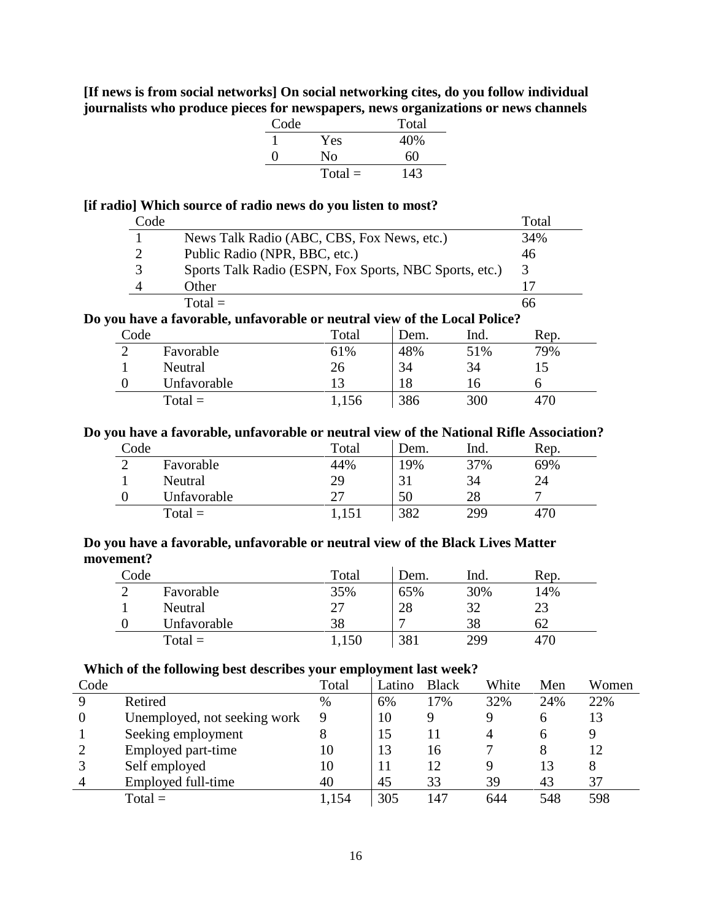| [If news is from social networks] On social networking cites, do you follow individual |
|----------------------------------------------------------------------------------------|
| journalists who produce pieces for newspapers, news organizations or news channels     |

| Code |           | Total |
|------|-----------|-------|
|      | Yes       | 40%   |
| 0    | No        | 60    |
|      | $Total =$ | 143   |

# **[if radio] Which source of radio news do you listen to most?**

| Code |                                                                           |                                                        |      |      | Total |  |
|------|---------------------------------------------------------------------------|--------------------------------------------------------|------|------|-------|--|
|      |                                                                           | News Talk Radio (ABC, CBS, Fox News, etc.)             |      |      |       |  |
| 2    |                                                                           | Public Radio (NPR, BBC, etc.)                          |      |      |       |  |
| 3    |                                                                           | Sports Talk Radio (ESPN, Fox Sports, NBC Sports, etc.) |      |      | 3     |  |
| 4    | Other                                                                     |                                                        |      |      | 17    |  |
|      | $Total =$                                                                 |                                                        |      |      | 66    |  |
|      | Do you have a favorable, unfavorable or neutral view of the Local Police? |                                                        |      |      |       |  |
| Code |                                                                           | Total                                                  | Dem. | Ind. | Rep.  |  |
| 2    | Favorable                                                                 | 61%                                                    | 48%  | 51%  | 79%   |  |
|      | Neutral                                                                   | 26                                                     | 34   | 34   | 15    |  |
|      | Unfavorable                                                               | 13                                                     | 18   | 16   | 6     |  |
|      | $Total =$                                                                 | 1,156                                                  | 386  | 300  | 470   |  |

# **Do you have a favorable, unfavorable or neutral view of the National Rifle Association?**

| Code |             | Total | Dem. | Ind. | Rep. |
|------|-------------|-------|------|------|------|
|      | Favorable   | 44%   | 19%  | 37%  | 69%  |
|      | Neutral     | 29    | 31   | 34   | 24   |
|      | Jnfavorable | フフ    | 50   | 28   |      |
|      | $Total =$   | 1,151 | 382  | 299  | 470  |

#### **Do you have a favorable, unfavorable or neutral view of the Black Lives Matter movement?**

| Code |             | Total | Dem. | Ind. | Rep. |
|------|-------------|-------|------|------|------|
|      | Favorable   | 35%   | 65%  | 30%  | 14%  |
|      | Neutral     | 27    | 28   | 32   | 23   |
|      | Unfavorable | 38    | −    | 38   | 62   |
|      | $Total =$   | 1,150 | 381  | 299  | 470  |

# **Which of the following best describes your employment last week?**

|          | ີ                            | $\cdot$ |        |              |       |     |       |
|----------|------------------------------|---------|--------|--------------|-------|-----|-------|
| Code     |                              | Total   | Latino | <b>Black</b> | White | Men | Women |
| Q        | Retired                      | $\%$    | 6%     | 17%          | 32%   | 24% | 22%   |
| $\Omega$ | Unemployed, not seeking work | 9       | 10     |              |       | h   | 13    |
|          | Seeking employment           |         | 15     |              |       | h   |       |
|          | Employed part-time           | 10      | 13     | 16           |       | 8   |       |
|          | Self employed                | 10      |        | 12           |       | 13  |       |
|          | Employed full-time           | 40      | 45     | 33           | 39    | 43  | 37    |
|          | $Total =$                    | .154    | 305    | 147          | 644   | 548 | 598   |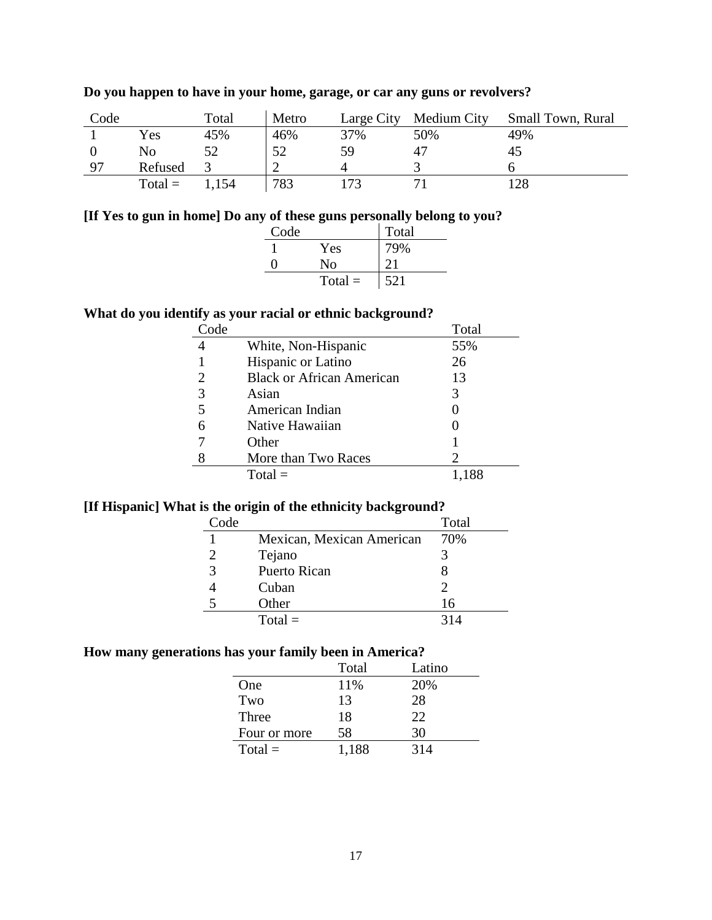| Code     |           | Total | Metro | Large City | Medium City | Small Town, Rural |
|----------|-----------|-------|-------|------------|-------------|-------------------|
|          | Yes       | 45%   | 46%   | 37%        | 50%         | 49%               |
|          | No        |       | 52    | 59         |             | 45                |
| $\Omega$ | Refused   |       |       |            |             |                   |
|          | $Total =$ | 1,154 | 783   | 73         |             |                   |

# **Do you happen to have in your home, garage, or car any guns or revolvers?**

### **[If Yes to gun in home] Do any of these guns personally belong to you?**

| Code |           | Total |
|------|-----------|-------|
|      | Yes       | 79%   |
| 0    | No        | 21    |
|      | $Total =$ | 521   |

# **What do you identify as your racial or ethnic background?**

| `ode |                                  | Total |
|------|----------------------------------|-------|
|      | White, Non-Hispanic              | 55%   |
|      | Hispanic or Latino               | 26    |
| 2    | <b>Black or African American</b> | 13    |
| 3    | Asian                            | 3     |
|      | American Indian                  |       |
| 6    | Native Hawaiian                  |       |
|      | Other                            |       |
| 8    | More than Two Races              |       |
|      | $Total =$                        |       |

# **[If Hispanic] What is the origin of the ethnicity background?**

| Code |                           | Total |
|------|---------------------------|-------|
|      | Mexican, Mexican American | 70%   |
|      | Tejano                    |       |
| 3    | Puerto Rican              |       |
|      | Cuban                     |       |
|      | Other                     | 16    |
|      | $Total =$                 | 314   |

#### **How many generations has your family been in America?**

|              | Total | Latino |
|--------------|-------|--------|
| One          | 11%   | 20%    |
| Two          | 13    | 28     |
| Three        | 18    | 22     |
| Four or more | 58    | 30     |
| $Total =$    | 1,188 | 314    |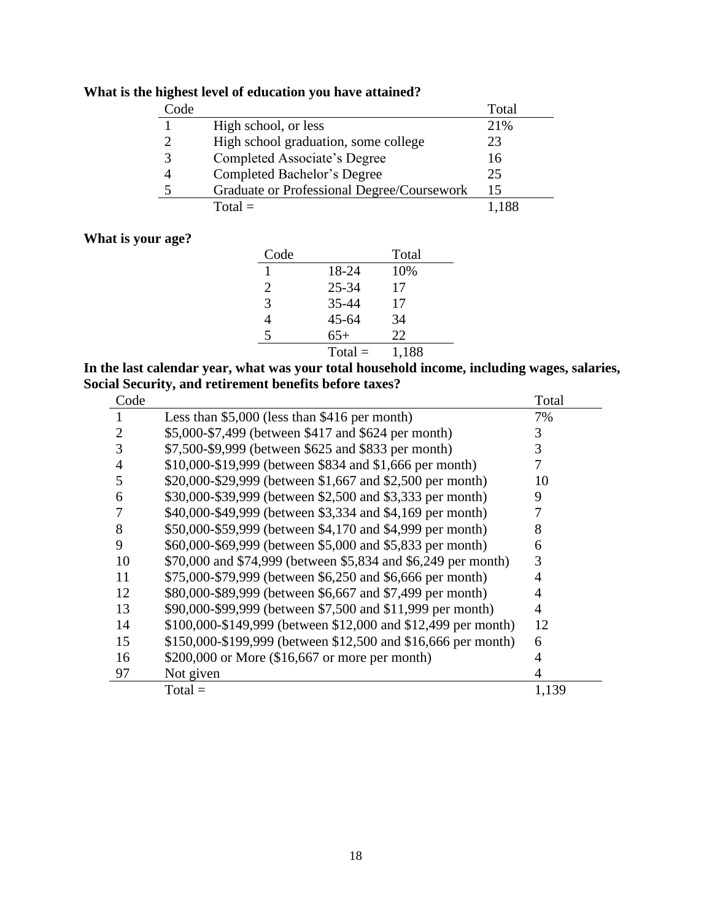| Code |                                            | Total |
|------|--------------------------------------------|-------|
|      | High school, or less                       | 21%   |
|      | High school graduation, some college       | 23    |
|      | Completed Associate's Degree               | 16    |
|      | Completed Bachelor's Degree                | 25    |
|      | Graduate or Professional Degree/Coursework | 15    |
|      | $Total =$                                  |       |

# **What is the highest level of education you have attained?**

# **What is your age?**

| Code |           | Total |
|------|-----------|-------|
|      | 18-24     | 10%   |
| 2    | $25 - 34$ | 17    |
| 3    | 35-44     | 17    |
| 4    | $45 - 64$ | 34    |
| 5    | $65+$     | 22    |
|      | $Total =$ | 1,188 |

**In the last calendar year, what was your total household income, including wages, salaries, Social Security, and retirement benefits before taxes?**

| Code           |                                                               | Total          |
|----------------|---------------------------------------------------------------|----------------|
|                | Less than $$5,000$ (less than $$416$ per month)               | 7%             |
| 2              | \$5,000-\$7,499 (between \$417 and \$624 per month)           | 3              |
| 3              | \$7,500-\$9,999 (between \$625 and \$833 per month)           | 3              |
| $\overline{4}$ | \$10,000-\$19,999 (between \$834 and \$1,666 per month)       |                |
| 5              | \$20,000-\$29,999 (between \$1,667 and \$2,500 per month)     | 10             |
| 6              | \$30,000-\$39,999 (between \$2,500 and \$3,333 per month)     | 9              |
|                | \$40,000-\$49,999 (between \$3,334 and \$4,169 per month)     |                |
| 8              | \$50,000-\$59,999 (between \$4,170 and \$4,999 per month)     | 8              |
| 9              | \$60,000-\$69,999 (between \$5,000 and \$5,833 per month)     | 6              |
| 10             | \$70,000 and \$74,999 (between \$5,834 and \$6,249 per month) | 3              |
| 11             | \$75,000-\$79,999 (between \$6,250 and \$6,666 per month)     | $\overline{4}$ |
| 12             | \$80,000-\$89,999 (between \$6,667 and \$7,499 per month)     | 4              |
| 13             | \$90,000-\$99,999 (between \$7,500 and \$11,999 per month)    | 4              |
| 14             | \$100,000-\$149,999 (between \$12,000 and \$12,499 per month) | 12             |
| 15             | \$150,000-\$199,999 (between \$12,500 and \$16,666 per month) | 6              |
| 16             | \$200,000 or More $(\$16,667$ or more per month)              | 4              |
| 97             | Not given                                                     | 4              |
|                | $Total =$                                                     | 1,139          |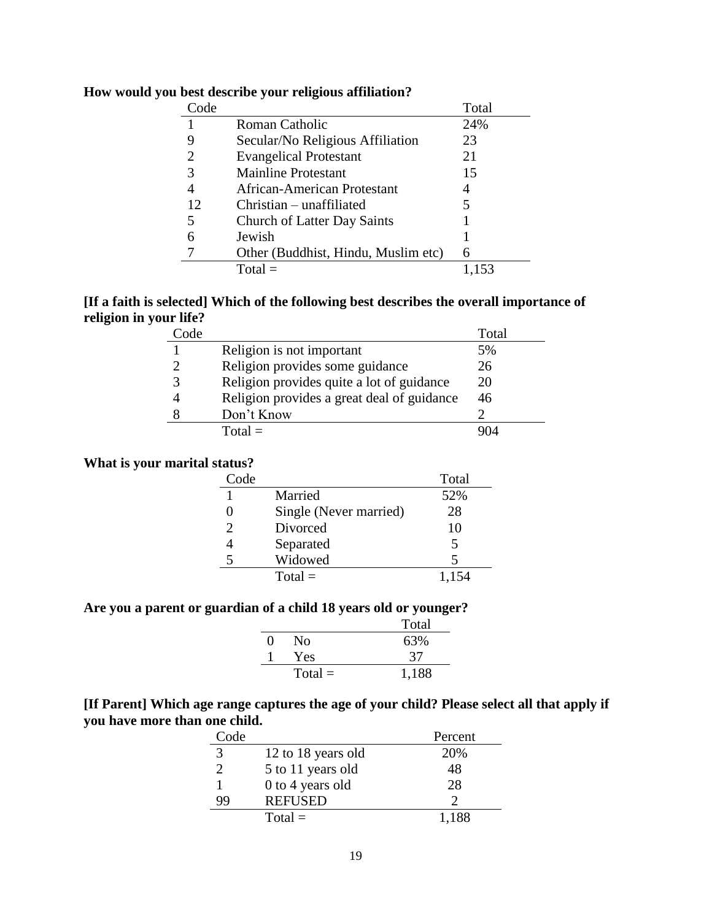| `ode |                                     | Total |
|------|-------------------------------------|-------|
|      | Roman Catholic                      | 24%   |
|      | Secular/No Religious Affiliation    | 23    |
| 2    | <b>Evangelical Protestant</b>       | 21    |
| 3    | <b>Mainline Protestant</b>          | 15    |
|      | African-American Protestant         | 4     |
| 12   | $Christian - unaffiliated$          | 5     |
| 5    | <b>Church of Latter Day Saints</b>  |       |
| 6    | Jewish                              |       |
|      | Other (Buddhist, Hindu, Muslim etc) | 6     |
|      | $Total =$                           | 1,153 |

# **How would you best describe your religious affiliation?**

# **[If a faith is selected] Which of the following best describes the overall importance of religion in your life?**

| Code |                                            | Total |
|------|--------------------------------------------|-------|
|      | Religion is not important                  | 5%    |
|      | Religion provides some guidance            | 26    |
|      | Religion provides quite a lot of guidance  | 20    |
|      | Religion provides a great deal of guidance | 46    |
|      | Don't Know                                 |       |
|      | $Total =$                                  |       |

# **What is your marital status?**

| Code |                        | Total |
|------|------------------------|-------|
|      | Married                | 52%   |
|      | Single (Never married) | 28    |
|      | Divorced               | 10    |
|      | Separated              | 5     |
|      | Widowed                | 5     |
|      | $Total =$              | 1,154 |

#### **Are you a parent or guardian of a child 18 years old or younger?**

|   |                | Total |
|---|----------------|-------|
| 0 | N <sub>0</sub> | 63%   |
|   | Yes            | 37    |
|   | $Total =$      | 1,188 |

| [If Parent] Which age range captures the age of your child? Please select all that apply if |  |
|---------------------------------------------------------------------------------------------|--|
| you have more than one child.                                                               |  |

| Code |                    | Percent |
|------|--------------------|---------|
| 3    | 12 to 18 years old | 20%     |
|      | 5 to 11 years old  | 48      |
|      | 0 to 4 years old   | 28      |
| 99   | <b>REFUSED</b>     |         |
|      | $Total =$          | 1,188   |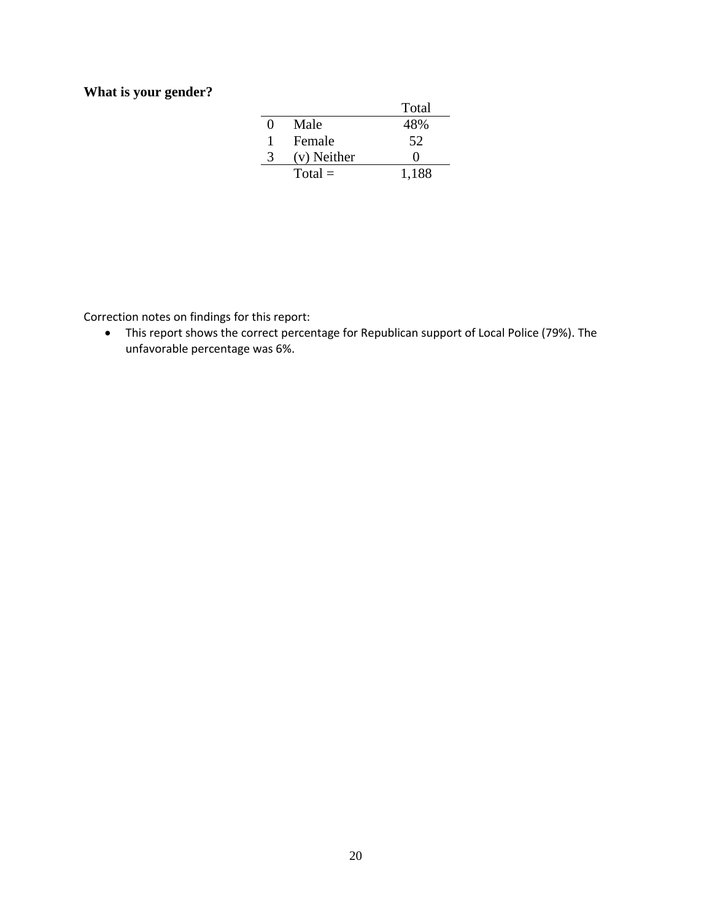# **What is your gender?**

|                   |             | Total             |
|-------------------|-------------|-------------------|
| $\mathbf{\Omega}$ | Male        | 48%               |
|                   | Female      | 52                |
| 3                 | (v) Neither | $\mathbf{\Omega}$ |
|                   | $Total =$   | 1,188             |

Correction notes on findings for this report:

• This report shows the correct percentage for Republican support of Local Police (79%). The unfavorable percentage was 6%.